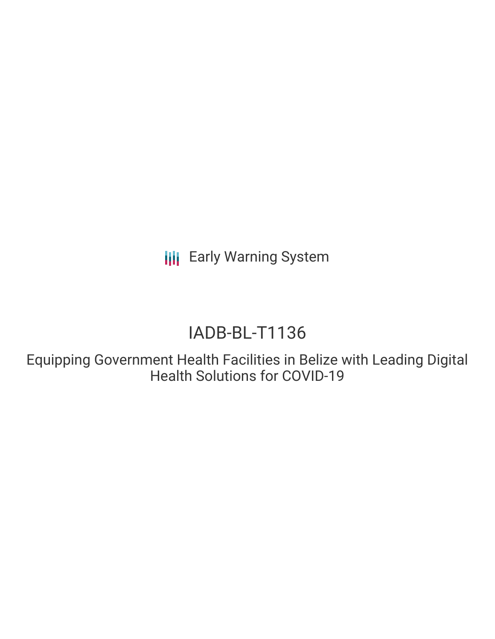**III** Early Warning System

# IADB-BL-T1136

Equipping Government Health Facilities in Belize with Leading Digital Health Solutions for COVID-19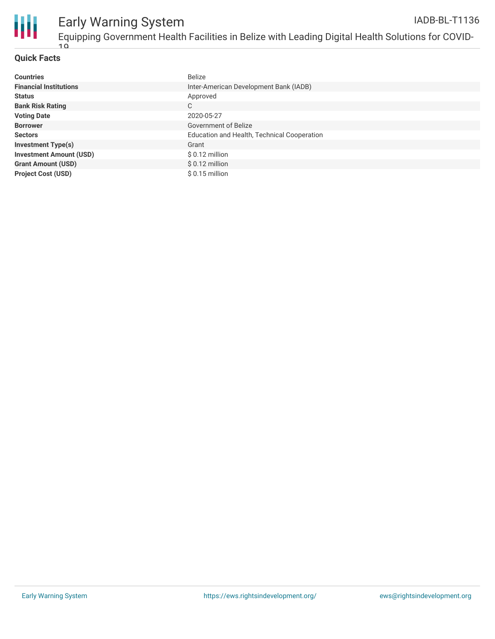

## **Quick Facts**

| <b>Countries</b>               | <b>Belize</b>                               |
|--------------------------------|---------------------------------------------|
| <b>Financial Institutions</b>  | Inter-American Development Bank (IADB)      |
| <b>Status</b>                  | Approved                                    |
| <b>Bank Risk Rating</b>        | C                                           |
| <b>Voting Date</b>             | 2020-05-27                                  |
| <b>Borrower</b>                | Government of Belize                        |
| <b>Sectors</b>                 | Education and Health, Technical Cooperation |
| <b>Investment Type(s)</b>      | Grant                                       |
| <b>Investment Amount (USD)</b> | $$0.12$ million                             |
| <b>Grant Amount (USD)</b>      | $$0.12$ million                             |
| <b>Project Cost (USD)</b>      | $$0.15$ million                             |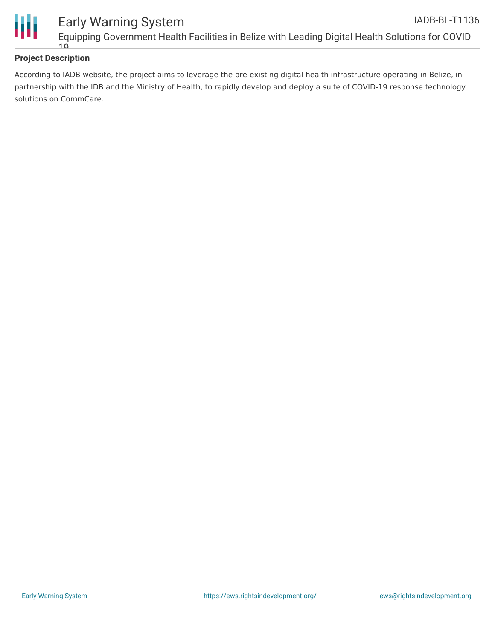

# **Project Description**

According to IADB website, the project aims to leverage the pre-existing digital health infrastructure operating in Belize, in partnership with the IDB and the Ministry of Health, to rapidly develop and deploy a suite of COVID-19 response technology solutions on CommCare.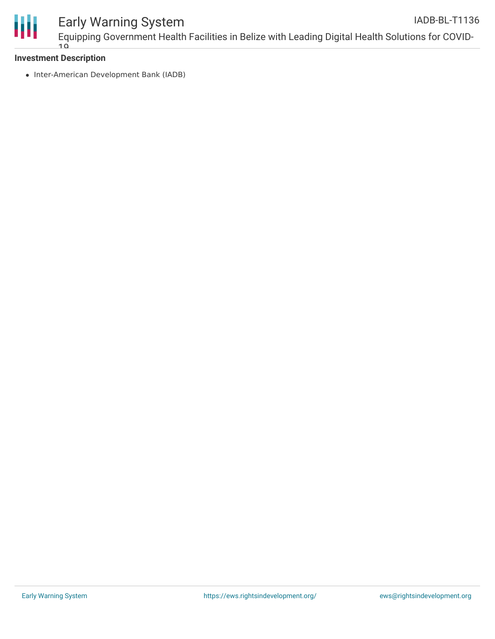

#### Early Warning System Equipping Government Health Facilities in Belize with Leading Digital Health Solutions for COVID- $10$ IADB-BL-T1136

### **Investment Description**

• Inter-American Development Bank (IADB)